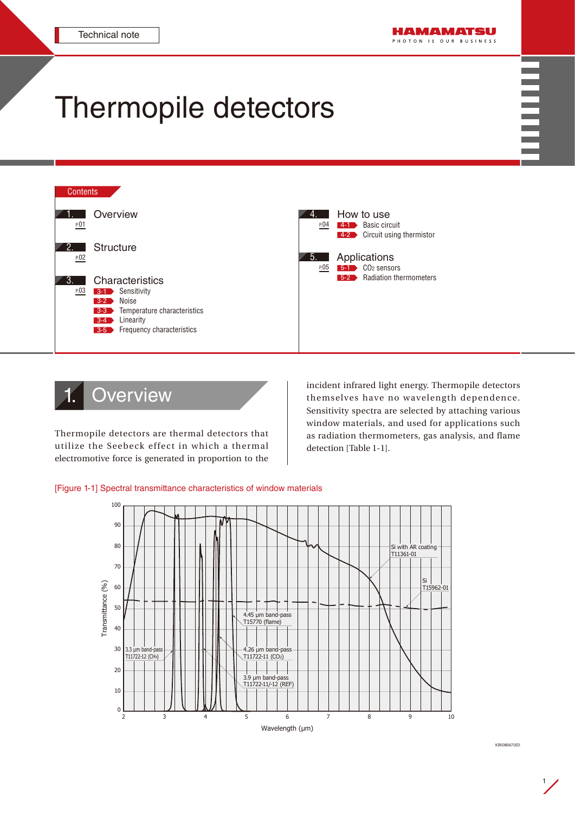## Thermopile detectors



## **Overview**

electromotive force is generated in proportion to the Thermopile detectors are thermal detectors that utilize the Seebeck effect in which a thermal incident infrared light energy. Thermopile detectors themselves have no wavelength dependence. Sensitivity spectra are selected by attaching various window materials, and used for applications such as radiation thermometers, gas analysis, and flame detection [Table 1-1].





1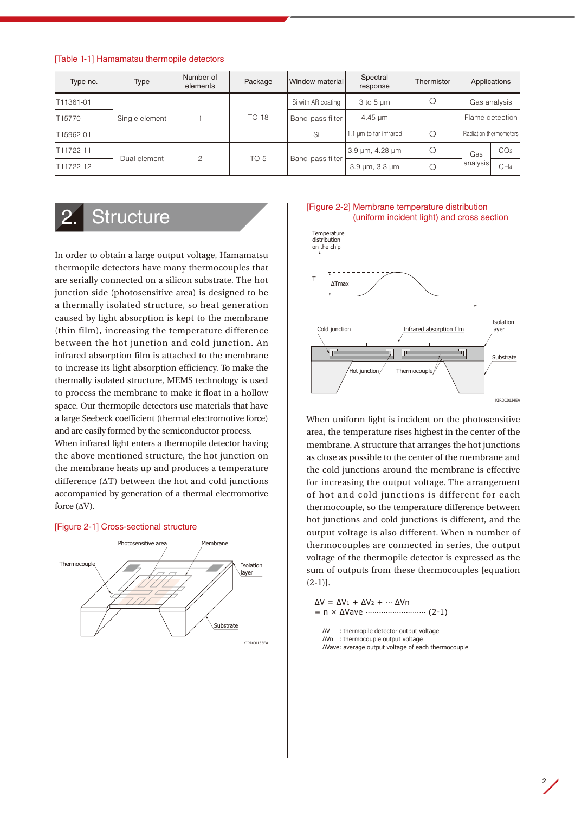<span id="page-1-0"></span>

|  | [Table 1-1] Hamamatsu thermopile detectors |  |  |
|--|--------------------------------------------|--|--|
|--|--------------------------------------------|--|--|

| Type no.           | Type           | Number of<br>elements | Package | Window material    | Spectral<br>response          | Thermistor | Applications           |                 |
|--------------------|----------------|-----------------------|---------|--------------------|-------------------------------|------------|------------------------|-----------------|
| T11361-01          | Single element |                       | $TO-18$ | Si with AR coating | $3$ to $5 \mu m$              |            | Gas analysis           |                 |
| T <sub>15770</sub> |                |                       |         | Band-pass filter   | $4.45 \mu m$                  |            | Flame detection        |                 |
| T15962-01          |                |                       |         | Si                 | 1.1 µm to far infrared        |            | Radiation thermometers |                 |
| T11722-11          |                | $\mathfrak{p}$        | $TO-5$  | Band-pass filter   | 3.9 µm, 4.28 µm               |            | Gas<br>analysis        | CO <sub>2</sub> |
| T11722-12          | Dual element   |                       |         |                    | $3.9 \,\mu m$ , $3.3 \,\mu m$ |            |                        | CH <sub>4</sub> |

### **Structure**

In order to obtain a large output voltage, Hamamatsu thermopile detectors have many thermocouples that are serially connected on a silicon substrate. The hot junction side (photosensitive area) is designed to be a thermally isolated structure, so heat generation caused by light absorption is kept to the membrane (thin film), increasing the temperature difference between the hot junction and cold junction. An infrared absorption film is attached to the membrane to increase its light absorption efficiency. To make the thermally isolated structure, MEMS technology is used to process the membrane to make it float in a hollow space. Our thermopile detectors use materials that have a large Seebeck coefficient (thermal electromotive force) and are easily formed by the semiconductor process.

When infrared light enters a thermopile detector having the above mentioned structure, the hot junction on the membrane heats up and produces a temperature difference (ΔT) between the hot and cold junctions accompanied by generation of a thermal electromotive force (ΔV).

#### [Figure 2-1] Cross-sectional structure







thermocouples are connected in series, the output When uniform light is incident on the photosensitive area, the temperature rises highest in the center of the membrane. A structure that arranges the hot junctions as close as possible to the center of the membrane and the cold junctions around the membrane is effective for increasing the output voltage. The arrangement of hot and cold junctions is different for each thermocouple, so the temperature difference between hot junctions and cold junctions is different, and the output voltage is also different. When n number of voltage of the thermopile detector is expressed as the sum of outputs from these thermocouples [equation  $(2-1)$ ].

 $ΔV = ΔV_1 + ΔV_2 + \cdots ΔV_n$ = n × ΔVave ……………………… (2-1) ΔV : thermopile detector output voltage

ΔVn : thermocouple output voltage ΔVave: average output voltage of each thermocouple

 $2\overline{ }$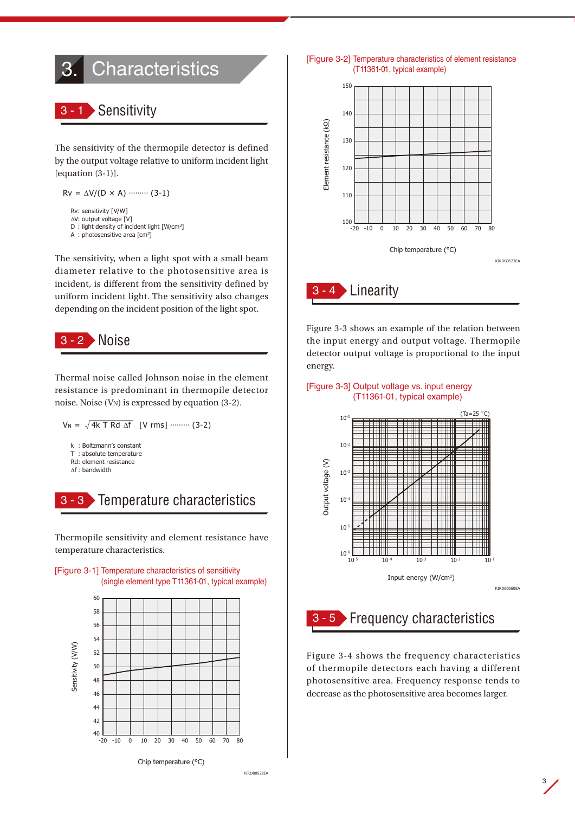# <span id="page-2-0"></span>**Characteristics**

### **Sensitivity**

The sensitivity of the thermopile detector is defined by the output voltage relative to uniform incident light  $[equation (3-1)].$ 

```
Rv = \Delta V / (D \times A) ……… (3-1)
Rv: sensitivity [V/W]
ΔV: output voltage [V]
D : light density of incident light [W/cm2]
```
A : photosensitive area [cm2]

The sensitivity, when a light spot with a small beam diameter relative to the photosensitive area is incident, is different from the sensitivity defined by uniform incident light. The sensitivity also changes depending on the incident position of the light spot.



Thermal noise called Johnson noise in the element resistance is predominant in thermopile detector noise. Noise (VN) is expressed by equation (3-2).





Thermopile sensitivity and element resistance have temperature characteristics.





[Figure 3-2] Temperature characteristics of element resistance (T11361-01, typical example)



the input energy and output voltage. Thermopile Figure 3-3 shows an example of the relation between detector output voltage is proportional to the input energy.





## 3 - 5 Frequency characteristics

Figure 3-4 shows the frequency characteristics of thermopile detectors each having a different photosensitive area. Frequency response tends to decrease as the photosensitive area becomes larger.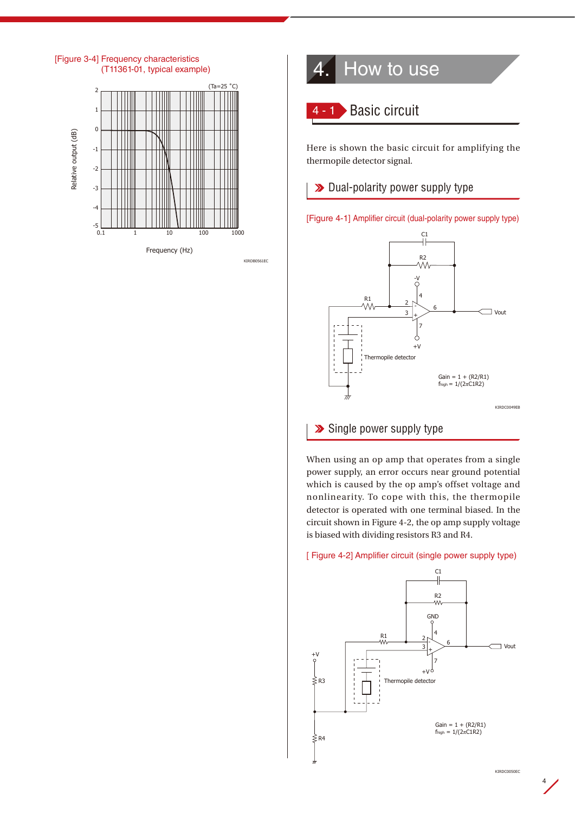<span id="page-3-0"></span>



Here is shown the basic circuit for amplifying the thermopile detector signal.

 $\parallel\;\;\blacktriangleright\;$  Dual-polarity power supply type





#### Single power supply type

KIRDB0561EC

When using an op amp that operates from a single power supply, an error occurs near ground potential which is caused by the op amp's offset voltage and  $\vert$  nonlinearity. To cope with this, the thermopile detector is operated with one terminal biased. In the circuit shown in Figure 4-2, the op amp supply voltage is biased with dividing resistors R3 and R4.

#### [ Figure 4-2] Amplifier circuit (single power supply type)

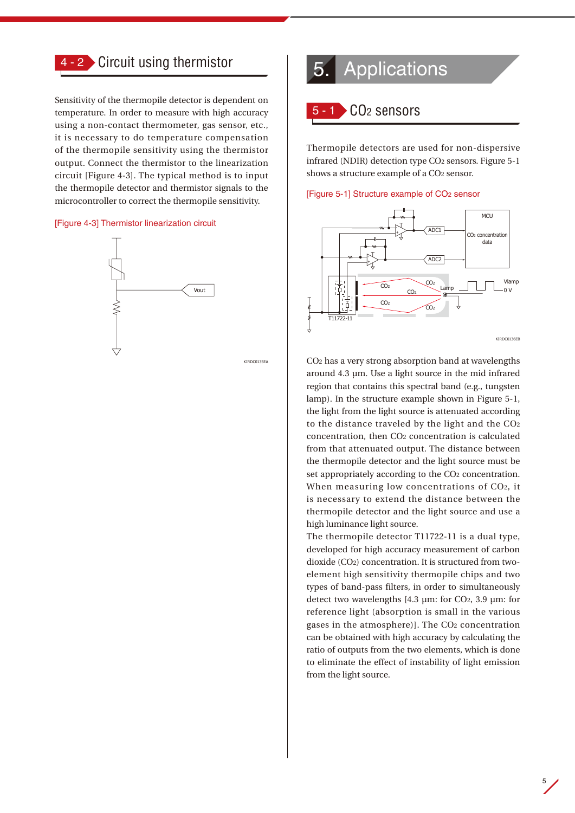<span id="page-4-0"></span>

#### 4 - 2 Circuit using thermistor

Sensitivity of the thermopile detector is dependent on temperature. In order to measure with high accuracy using a non-contact thermometer, gas sensor, etc., it is necessary to do temperature compensation of the thermopile sensitivity using the thermistor output. Connect the thermistor to the linearization circuit [Figure 4-3]. The typical method is to input the thermopile detector and thermistor signals to the microcontroller to correct the thermopile sensitivity.

#### [Figure 4-3] Thermistor linearization circuit



KIRDC0135EA

KIRDC0135EA

## 5. Applications

#### CO<sub>2</sub> sensors

Thermopile detectors are used for non-dispersive infrared (NDIR) detection type CO2 sensors. Figure 5-1 shows a structure example of a CO2 sensor.





from that attenuated output. The distance between CO2 has a very strong absorption band at wavelengths around 4.3 µm. Use a light source in the mid infrared region that contains this spectral band (e.g., tungsten lamp). In the structure example shown in Figure 5-1, the light from the light source is attenuated according to the distance traveled by the light and the CO2 concentration, then CO2 concentration is calculated the thermopile detector and the light source must be set appropriately according to the CO<sub>2</sub> concentration. When measuring low concentrations of CO2, it is necessary to extend the distance between the thermopile detector and the light source and use a high luminance light source.

The thermopile detector T11722-11 is a dual type, developed for high accuracy measurement of carbon dioxide (CO2) concentration. It is structured from twoelement high sensitivity thermopile chips and two types of band-pass filters, in order to simultaneously detect two wavelengths [4.3 µm: for CO2, 3.9 µm: for reference light (absorption is small in the various gases in the atmosphere)]. The CO2 concentration can be obtained with high accuracy by calculating the ratio of outputs from the two elements, which is done to eliminate the effect of instability of light emission from the light source.